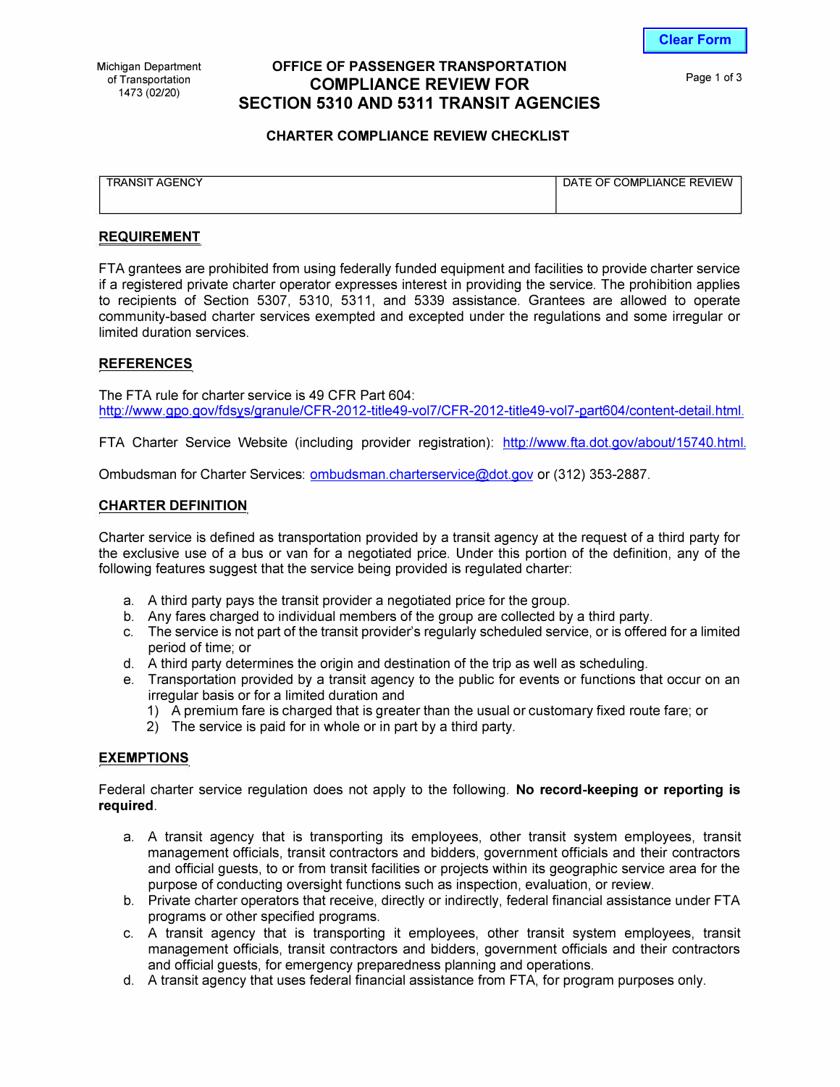**Clear Form**

# **OFFICE OF PASSENGER TRANSPORTATION COMPLIANCE REVIEW FOR SECTION 5310 AND 5311 TRANSIT AGENCIES**

Page 1 of 3

## **CHARTER COMPLIANCE REVIEW CHECKLIST**

| <b>TRANSIT AGENCY</b> | DATE OF COMPLIANCE REVIEW |
|-----------------------|---------------------------|
|                       |                           |
|                       |                           |
|                       |                           |

## **REQUIREMENT**

FTA grantees are prohibited from using federally funded equipment and facilities to provide charter service if a registered private charter operator expresses interest in providing the service. The prohibition applies to recipients of Section 5307, 5310, 5311, and 5339 assistance. Grantees are allowed to operate community-based charter services exempted and excepted under the regulations and some irregular or limited duration services.

#### **REFERENCES**

The FTA rule for charter service is 49 CFR Part 604: http://www.gpo.gov/fdsys/granule/CFR-2012-title49-vol7/CFR-2012-title49-vol7-part604/content-detail.html.

FTA Charter Service Website (including provider registration): http://www.fta.dot.gov/about/15740.html.

Ombudsman for Charter Services: [ombudsman.charterservice@dot.gov o](mailto:ombudsman.charterservice@dot.gov)r (312) 353-2887.

#### **CHARTER DEFINITION**

Charter service is defined as transportation provided by a transit agency at the request of a third party for the exclusive use of a bus or van for a negotiated price. Under this portion of the definition, any of the following features suggest that the service being provided is regulated charter:

- a. A third party pays the transit provider a negotiated price for the group.
- b. Any fares charged to individual members of the group are collected by a third party.
- c. The service is not part of the transit provider's regularly scheduled service, or is offered for a limited period of time; or
- d. A third party determines the origin and destination of the trip as well as scheduling.
- e. Transportation provided by a transit agency to the public for events or functions that occur on an irregular basis or for a limited duration and
	- 1) A premium fare is charged that is greater than the usual or customary fixed route fare; or
	- 2) The service is paid for in whole or in part by a third party.

#### **EXEMPTIONS**

Federal charter service regulation does not apply to the following. **No record-keeping or reporting is required.** 

- a. A transit agency that is transporting its employees, other transit system employees, transit management officials, transit contractors and bidders, government officials and their contractors and official guests, to or from transit facilities or projects within its geographic service area for the purpose of conducting oversight functions such as inspection, evaluation, or review.
- b. Private charter operators that receive, directly or indirectly, federal financial assistance under FTA programs or other specified programs.
- c. A transit agency that is transporting it employees, other transit system employees, transit management officials, transit contractors and bidders, government officials and their contractors and official guests, for emergency preparedness planning and operations.
- d. A transit agency that uses federal financial assistance from FTA, for program purposes only.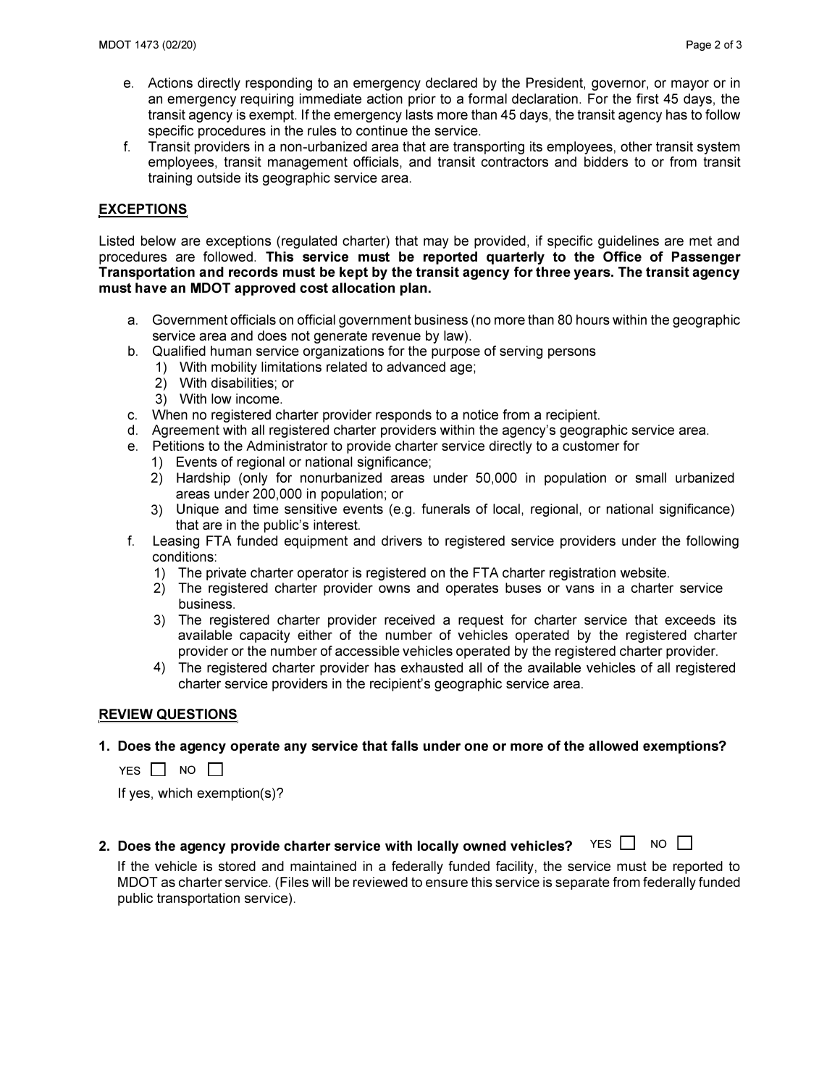- **e. Actions directly responding to an emergency declared by the President, governor, or mayor or in an emergency requiring immediate action prior to a formal declaration. For the first 45 days, the transit agency is exempt. If the emergency lasts more than 45 days, the transit agency has to follow specific procedures in the rules to continue the service.**
- **f. Transit providers in a non-urbanized area that are transporting its employees, other transit system employees, transit management officials, and transit contractors and bidders to or from transit training outside its geographic service area.**

# **EXCEPTIONS**

**Listed below are exceptions (regulated charter) that may be provided, if specific guidelines are met and procedures are followed. This service must be reported quarterly to the Office of Passenger Transportation and records must be kept by the transit agency for three years. The transit agency must have an MDOT approved cost allocation plan.** 

- **a. Government officials on official government business (no more than 80 hours within the geographic service area and does not generate revenue by law).**
- **b. Qualified human service organizations for the purpose of serving persons**
	- **1) With mobility limitations related to advanced age;**
	- **2) With disabilities; or**
	- **3) With low income.**
- **c. When no registered charter provider responds to a notice from a recipient.**
- **d. Agreement with all registered charter providers within the agency's geographic service area.**
- **e. Petitions to the Administrator to provide charter service directly to a customer for**
	- **1) Events of regional or national significance;**
	- **2) Hardship (only for nonurbanized areas under 50,000 in population or small urbanized areas under 200,000 in population; or**
	- **3) Unique and time sensitive events (e.g. funerals of local, regional, or national significance) that are in the public's interest.**
- **f. Leasing FTA funded equipment and drivers to registered service providers under the following conditions:**
	- **1) The private charter operator is registered on the FTA charter registration website.**
	- **2) The registered charter provider owns and operates buses or vans in a charter service business.**
	- **3) The registered charter provider received a request for charter service that exceeds its available capacity either of the number of vehicles operated by the registered charter provider or the number of accessible vehicles operated by the registered charter provider.**
	- **4) The registered charter provider has exhausted all of the available vehicles of all registered charter service providers in the recipient's geographic service area.**

#### **REVIEW QUESTIONS**

#### **1. Does the agency operate any service that falls under one or more of the allowed exemptions?**

YES  $\Box$  NO  $\Box$ 

**If yes, which exemption(s)?**

2. Does the agency provide charter service with locally owned vehicles?  $YES \Box NO \Box$ 

**If the vehicle is stored and maintained in a federally funded facility, the service must be reported to MOOT as charter service. (Files will be reviewed to ensure this service is separate from federally funded public transportation service).**